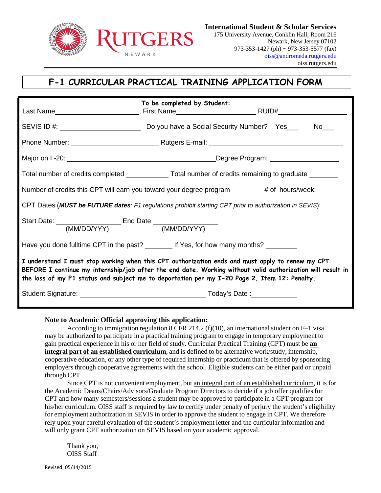

## **F-1 CURRICULAR PRACTICAL TRAINING APPLICATION FORM**

|                                                                                                                                                                                                                                                                                                                | To be completed by Student: |                                                                                                          |  |  |
|----------------------------------------------------------------------------------------------------------------------------------------------------------------------------------------------------------------------------------------------------------------------------------------------------------------|-----------------------------|----------------------------------------------------------------------------------------------------------|--|--|
|                                                                                                                                                                                                                                                                                                                |                             | SEVIS ID #: No No No Nove a Social Security Number? Yes No No                                            |  |  |
|                                                                                                                                                                                                                                                                                                                |                             |                                                                                                          |  |  |
|                                                                                                                                                                                                                                                                                                                |                             |                                                                                                          |  |  |
|                                                                                                                                                                                                                                                                                                                |                             | Total number of credits completed _______________Total number of credits remaining to graduate _________ |  |  |
| Number of credits this CPT will earn you toward your degree program ______# of hours/week: ______                                                                                                                                                                                                              |                             |                                                                                                          |  |  |
| CPT Dates (MUST be FUTURE dates: F1 regulations prohibit starting CPT prior to authorization in SEVIS):                                                                                                                                                                                                        |                             |                                                                                                          |  |  |
|                                                                                                                                                                                                                                                                                                                |                             |                                                                                                          |  |  |
| Have you done fulltime CPT in the past? ________ If Yes, for how many months? ________                                                                                                                                                                                                                         |                             |                                                                                                          |  |  |
| I understand I must stop working when this CPT authorization ends and must apply to renew my CPT<br>BEFORE I continue my internship/job after the end date. Working without valid authorization will result in<br>the loss of my F1 status and subject me to deportation per my I-20 Page 2, Item 12: Penalty. |                             |                                                                                                          |  |  |
|                                                                                                                                                                                                                                                                                                                |                             |                                                                                                          |  |  |

## **Note to Academic Official approving this application:**

According to immigration regulation 8 CFR 214.2 (f)(10), an international student on  $F-1$  visa may be authorized to participate in a practical training program to engage in temporary employment to gain practical experience in his or her field of study. Curricular Practical Training (CPT) must be **an integral part of an established curriculum**, and is defined to be alternative work/study, internship, cooperative education, or any other type of required internship or practicum that is offered by sponsoring employers through cooperative agreements with the school. Eligible students can be either paid or unpaid through CPT.

Since CPT is not convenient employment, but an integral part of an established curriculum, it is for the Academic Deans/Chairs/Advisors/Graduate Program Directors to decide if a job offer qualifies for CPT and how many semesters/sessions a student may be approved to participate in a CPT program for his/her curriculum. OISS staff is required by law to certify under penalty of perjury the student's eligibility for employment authorization in SEVIS in order to approve the student to engage in CPT. We therefore rely upon your careful evaluation of the student's employment letter and the curricular information and will only grant CPT authorization on SEVIS based on your academic approval.

Thank you, OISS Staff